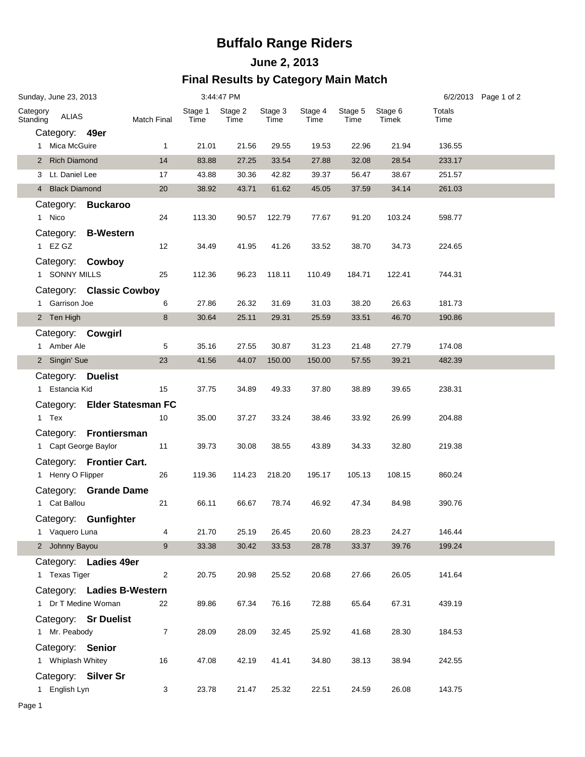## **Buffalo Range Riders**

#### **June 2, 2013 Final Results by Category Main Match**

| Sunday, June 23, 2013 |                                       |                                                   |                                    | 3:44:47 PM      |                 |                 |                 |                 |                  |                | 6/2/2013 Page 1 of 2 |
|-----------------------|---------------------------------------|---------------------------------------------------|------------------------------------|-----------------|-----------------|-----------------|-----------------|-----------------|------------------|----------------|----------------------|
| Category<br>Standing  | <b>ALIAS</b>                          |                                                   | Match Final                        | Stage 1<br>Time | Stage 2<br>Time | Stage 3<br>Time | Stage 4<br>Time | Stage 5<br>Time | Stage 6<br>Timek | Totals<br>Time |                      |
|                       | Category: 49er                        |                                                   |                                    |                 |                 |                 |                 |                 |                  |                |                      |
|                       | 1 Mica McGuire                        |                                                   | $\mathbf{1}$                       | 21.01           | 21.56           | 29.55           | 19.53           | 22.96           | 21.94            | 136.55         |                      |
|                       | 2 Rich Diamond                        |                                                   | 14                                 | 83.88           | 27.25           | 33.54           | 27.88           | 32.08           | 28.54            | 233.17         |                      |
|                       | 3 Lt. Daniel Lee                      |                                                   | 17                                 | 43.88           | 30.36           | 42.82           | 39.37           | 56.47           | 38.67            | 251.57         |                      |
|                       | 4 Black Diamond                       |                                                   | 20                                 | 38.92           | 43.71           | 61.62           | 45.05           | 37.59           | 34.14            | 261.03         |                      |
|                       | 1 Nico                                | Category: Buckaroo                                | 24                                 | 113.30          | 90.57           | 122.79          | 77.67           | 91.20           | 103.24           | 598.77         |                      |
|                       | 1 EZ GZ                               | Category: B-Western                               | 12                                 | 34.49           | 41.95           | 41.26           | 33.52           | 38.70           | 34.73            | 224.65         |                      |
|                       | 1 SONNY MILLS                         | Category: Cowboy                                  | 25                                 | 112.36          | 96.23           | 118.11          | 110.49          | 184.71          | 122.41           | 744.31         |                      |
|                       |                                       | Category: Classic Cowboy                          |                                    |                 |                 |                 |                 |                 |                  |                |                      |
|                       | 1 Garrison Joe                        |                                                   | 6                                  | 27.86           | 26.32           | 31.69           | 31.03           | 38.20           | 26.63            | 181.73         |                      |
|                       | 2 Ten High                            |                                                   | 8                                  | 30.64           | 25.11           | 29.31           | 25.59           | 33.51           | 46.70            | 190.86         |                      |
|                       | 1 Amber Ale                           | Category: Cowgirl                                 | 5                                  | 35.16           | 27.55           | 30.87           | 31.23           | 21.48           | 27.79            | 174.08         |                      |
|                       | 2 Singin' Sue                         |                                                   | 23                                 | 41.56           | 44.07           | 150.00          | 150.00          | 57.55           | 39.21            | 482.39         |                      |
|                       | Category: Duelist<br>1 Estancia Kid   |                                                   | 15                                 | 37.75           | 34.89           | 49.33           | 37.80           | 38.89           | 39.65            | 238.31         |                      |
|                       | 1 Tex                                 |                                                   | Category: Elder Statesman FC<br>10 | 35.00           | 37.27           | 33.24           | 38.46           | 33.92           | 26.99            | 204.88         |                      |
|                       |                                       | Category: Frontiersman                            |                                    |                 |                 |                 |                 |                 |                  |                |                      |
|                       | 1 Capt George Baylor                  |                                                   | 11                                 | 39.73           | 30.08           | 38.55           | 43.89           | 34.33           | 32.80            | 219.38         |                      |
|                       | 1 Henry O Flipper                     | Category: Frontier Cart.                          | 26                                 | 119.36          | 114.23          | 218.20          | 195.17          | 105.13          | 108.15           | 860.24         |                      |
|                       | 1 Cat Ballou                          | Category: Grande Dame                             | 21                                 | 66.11           | 66.67           | 78.74           | 46.92           | 47.34           | 84.98            | 390.76         |                      |
|                       |                                       | Category: Gunfighter                              |                                    |                 |                 |                 |                 |                 |                  |                |                      |
|                       | 1 Vaquero Luna                        |                                                   | 4                                  | 21.70           | 25.19           | 26.45           | 20.60           | 28.23           | 24.27            | 146.44         |                      |
|                       | 2 Johnny Bayou                        |                                                   | 9                                  | 33.38           | 30.42           | 33.53           | 28.78           | 33.37           | 39.76            | 199.24         |                      |
|                       | 1 Texas Tiger                         | Category: Ladies 49er                             | $\overline{2}$                     | 20.75           | 20.98           | 25.52           | 20.68           | 27.66           | 26.05            | 141.64         |                      |
|                       |                                       | Category: Ladies B-Western<br>1 Dr T Medine Woman | 22                                 | 89.86           | 67.34           | 76.16           | 72.88           | 65.64           | 67.31            | 439.19         |                      |
|                       | 1 Mr. Peabody                         | Category: Sr Duelist                              | $\overline{7}$                     | 28.09           | 28.09           | 32.45           | 25.92           | 41.68           | 28.30            | 184.53         |                      |
|                       | Category: Senior<br>1 Whiplash Whitey |                                                   | 16                                 | 47.08           | 42.19           | 41.41           | 34.80           | 38.13           | 38.94            | 242.55         |                      |
|                       | 1 English Lyn                         | Category: Silver Sr                               | 3                                  | 23.78           | 21.47           | 25.32           | 22.51           | 24.59           | 26.08            | 143.75         |                      |
|                       |                                       |                                                   |                                    |                 |                 |                 |                 |                 |                  |                |                      |